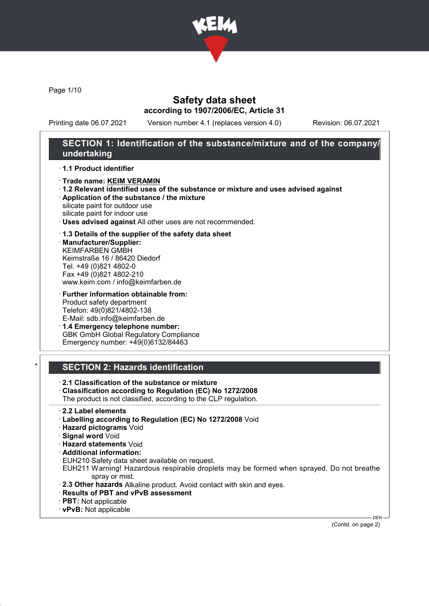

Page 1/10

## Safety data sheet according to 1907/2006/EC, Article 31

Printing date 06.07.2021 Version number 4.1 (replaces version 4.0) Revision: 06.07.2021

## SECTION 1: Identification of the substance/mixture and of the company/ undertaking

### · 1.1 Product identifier

- · Trade name: KEIM VERAMIN
- · 1.2 Relevant identified uses of the substance or mixture and uses advised against
- · Application of the substance / the mixture silicate paint for outdoor use

silicate paint for indoor use

· Uses advised against All other uses are not recommended.

### · 1.3 Details of the supplier of the safety data sheet

· Manufacturer/Supplier: KEIMFARBEN GMBH Keimstraße 16 / 86420 Diedorf Tel. +49 (0)821 4802-0 Fax +49 (0)821 4802-210 www.keim.com / info@keimfarben.de

· Further information obtainable from: Product safety department Telefon: 49(0)821/4802-138 E-Mail: sdb.info@keimfarben.de

· 1.4 Emergency telephone number: GBK GmbH Global Regulatory Compliance Emergency number: +49(0)6132/84463

## **SECTION 2: Hazards identification**

· 2.1 Classification of the substance or mixture

· Classification according to Regulation (EC) No 1272/2008

The product is not classified, according to the CLP regulation.

- · 2.2 Label elements
- · Labelling according to Regulation (EC) No 1272/2008 Void
- · Hazard pictograms Void
- · Signal word Void
- · Hazard statements Void
- · Additional information:
- EUH210 Safety data sheet available on request.
- EUH211 Warning! Hazardous respirable droplets may be formed when sprayed. Do not breathe spray or mist.
- · 2.3 Other hazards Alkaline product. Avoid contact with skin and eyes.
- · Results of PBT and vPvB assessment
- · PBT: Not applicable
- · vPvB: Not applicable

(Contd. on page 2)

DEN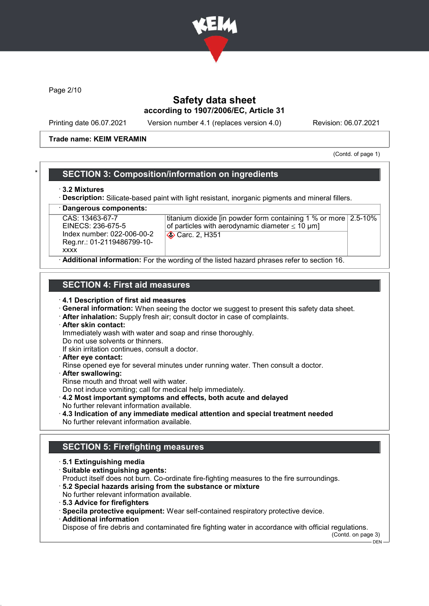

Page 2/10

## Safety data sheet according to 1907/2006/EC, Article 31

Printing date 06.07.2021 Version number 4.1 (replaces version 4.0) Revision: 06.07.2021

### Trade name: KEIM VERAMIN

(Contd. of page 1)

## **SECTION 3: Composition/information on ingredients**

### · 3.2 Mixtures

· Description: Silicate-based paint with light resistant, inorganic pigments and mineral fillers.

Dangerous components:

CAS: 13463-67-7 EINECS: 236-675-5 Index number: 022-006-00-2 Reg.nr.: 01-2119486799-10 xxxx

titanium dioxide [in powder form containing 1 % or more 2.5-10% of particles with aerodynamic diameter  $\leq 10 \mu m$ ] **Carc. 2, H351** 

Additional information: For the wording of the listed hazard phrases refer to section 16.

## SECTION 4: First aid measures

- · 4.1 Description of first aid measures
- · General information: When seeing the doctor we suggest to present this safety data sheet.
- · After inhalation: Supply fresh air; consult doctor in case of complaints.
- · After skin contact:

Immediately wash with water and soap and rinse thoroughly.

Do not use solvents or thinners.

- If skin irritation continues, consult a doctor.
- · After eye contact:

Rinse opened eye for several minutes under running water. Then consult a doctor.

· After swallowing:

Rinse mouth and throat well with water.

- Do not induce vomiting; call for medical help immediately.
- · 4.2 Most important symptoms and effects, both acute and delayed No further relevant information available.
- · 4.3 Indication of any immediate medical attention and special treatment needed No further relevant information available.

# SECTION 5: Firefighting measures

- · 5.1 Extinguishing media
- · Suitable extinguishing agents:
- Product itself does not burn. Co-ordinate fire-fighting measures to the fire surroundings.
- · 5.2 Special hazards arising from the substance or mixture
- No further relevant information available.
- · 5.3 Advice for firefighters
- · Specila protective equipment: Wear self-contained respiratory protective device.
- · Additional information

Dispose of fire debris and contaminated fire fighting water in accordance with official regulations.

(Contd. on page 3)

DEN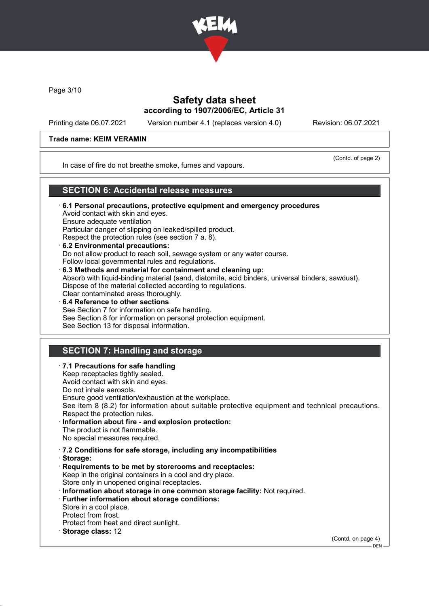

Page 3/10

## Safety data sheet according to 1907/2006/EC, Article 31

Printing date 06.07.2021 Version number 4.1 (replaces version 4.0) Revision: 06.07.2021

### Trade name: KEIM VERAMIN

(Contd. of page 2)

In case of fire do not breathe smoke, fumes and vapours.

## SECTION 6: Accidental release measures

- · 6.1 Personal precautions, protective equipment and emergency procedures Avoid contact with skin and eyes. Ensure adequate ventilation Particular danger of slipping on leaked/spilled product. Respect the protection rules (see section 7 a. 8). · 6.2 Environmental precautions:
- Do not allow product to reach soil, sewage system or any water course. Follow local governmental rules and regulations.
- · 6.3 Methods and material for containment and cleaning up: Absorb with liquid-binding material (sand, diatomite, acid binders, universal binders, sawdust). Dispose of the material collected according to regulations. Clear contaminated areas thoroughly.
- 6.4 Reference to other sections See Section 7 for information on safe handling. See Section 8 for information on personal protection equipment. See Section 13 for disposal information.

# SECTION 7: Handling and storage

· 7.1 Precautions for safe handling Keep receptacles tightly sealed. Avoid contact with skin and eyes. Do not inhale aerosols. Ensure good ventilation/exhaustion at the workplace. See item 8 (8.2) for information about suitable protective equipment and technical precautions. Respect the protection rules. Information about fire - and explosion protection: The product is not flammable. No special measures required. · 7.2 Conditions for safe storage, including any incompatibilities · Storage: · Requirements to be met by storerooms and receptacles: Keep in the original containers in a cool and dry place. Store only in unopened original receptacles. · Information about storage in one common storage facility: Not required. · Further information about storage conditions: Store in a cool place. Protect from frost. Protect from heat and direct sunlight. · Storage class: 12 (Contd. on page 4)  $-$  DEN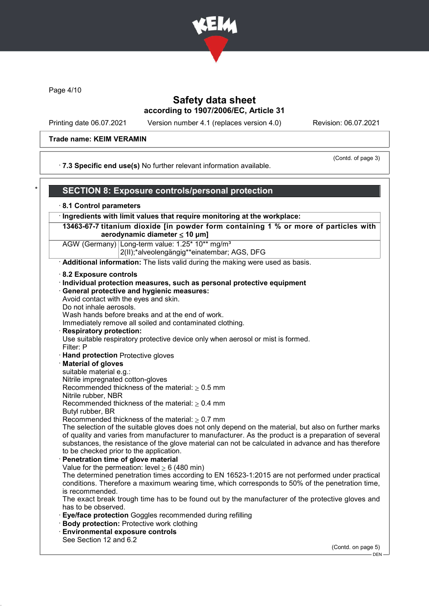

Page 4/10

## Safety data sheet according to 1907/2006/EC, Article 31

Printing date 06.07.2021 Version number 4.1 (replaces version 4.0) Revision: 06.07.2021

### Trade name: KEIM VERAMIN

(Contd. of page 3)

· 7.3 Specific end use(s) No further relevant information available.

# SECTION 8: Exposure controls/personal protection

## · 8.1 Control parameters

· Ingredients with limit values that require monitoring at the workplace:

13463-67-7 titanium dioxide [in powder form containing 1 % or more of particles with aerodynamic diameter  $\leq 10 \mu m$ ]

AGW (Germany) Long-term value: 1.25\* 10\*\* mg/m<sup>3</sup> 2(II);\*alveolengängig\*\*einatembar; AGS, DFG

· Additional information: The lists valid during the making were used as basis.

- · 8.2 Exposure controls
- · Individual protection measures, such as personal protective equipment · General protective and hygienic measures: Avoid contact with the eyes and skin. Do not inhale aerosols. Wash hands before breaks and at the end of work.

Immediately remove all soiled and contaminated clothing.

**Respiratory protection:** 

Use suitable respiratory protective device only when aerosol or mist is formed.

- Filter: P
- · Hand protection Protective gloves
- **Material of gloves**

suitable material e.g.:

Nitrile impregnated cotton-gloves

Recommended thickness of the material:  $> 0.5$  mm

Nitrile rubber, NBR

Recommended thickness of the material:  $\geq 0.4$  mm

Butyl rubber, BR

Recommended thickness of the material:  $\geq 0.7$  mm

The selection of the suitable gloves does not only depend on the material, but also on further marks of quality and varies from manufacturer to manufacturer. As the product is a preparation of several substances, the resistance of the glove material can not be calculated in advance and has therefore to be checked prior to the application.

Penetration time of glove material

Value for the permeation: level  $\geq 6$  (480 min)

The determined penetration times according to EN 16523-1:2015 are not performed under practical conditions. Therefore a maximum wearing time, which corresponds to 50% of the penetration time, is recommended.

The exact break trough time has to be found out by the manufacturer of the protective gloves and has to be observed.

- Eye/face protection Goggles recommended during refilling
- · Body protection: Protective work clothing
- · Environmental exposure controls

See Section 12 and 6.2

(Contd. on page 5)

 $-$  DEN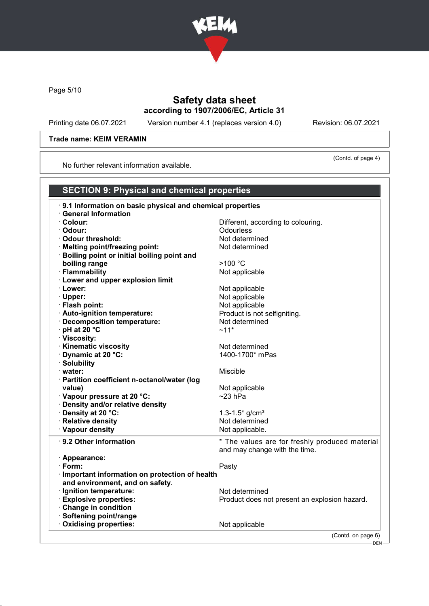

Page 5/10

# Safety data sheet according to 1907/2006/EC, Article 31

Printing date 06.07.2021 Version number 4.1 (replaces version 4.0) Revision: 06.07.2021

(Contd. of page 4)

## Trade name: KEIM VERAMIN

No further relevant information available.

# SECTION 9: Physical and chemical properties

| .9.1 Information on basic physical and chemical properties |                                                |
|------------------------------------------------------------|------------------------------------------------|
| · General Information                                      |                                                |
| · Colour:                                                  | Different, according to colouring.             |
| · Odour:                                                   | <b>Odourless</b>                               |
| Odour threshold:                                           | Not determined                                 |
| · Melting point/freezing point:                            | Not determined                                 |
| · Boiling point or initial boiling point and               |                                                |
| boiling range                                              | >100 °C                                        |
| · Flammability                                             | Not applicable                                 |
| · Lower and upper explosion limit                          |                                                |
| · Lower:                                                   | Not applicable                                 |
| · Upper:                                                   | Not applicable                                 |
| · Flash point:                                             | Not applicable                                 |
| · Auto-ignition temperature:                               | Product is not selfigniting.                   |
| · Decomposition temperature:                               | Not determined                                 |
| · pH at 20 °C                                              | $~11*$                                         |
| · Viscosity:                                               |                                                |
| · Kinematic viscosity                                      | Not determined                                 |
| · Dynamic at 20 °C:                                        | 1400-1700* mPas                                |
| · Solubility                                               |                                                |
| · water:                                                   | Miscible                                       |
| · Partition coefficient n-octanol/water (log               |                                                |
| value)                                                     | Not applicable                                 |
| Vapour pressure at 20 °C:                                  | $~23$ hPa                                      |
| · Density and/or relative density                          |                                                |
| · Density at 20 °C:                                        | 1.3-1.5 $*$ g/cm <sup>3</sup>                  |
| · Relative density                                         | Not determined                                 |
| · Vapour density                                           | Not applicable.                                |
| ⋅ 9.2 Other information                                    | * The values are for freshly produced material |
|                                                            | and may change with the time.                  |
| · Appearance:                                              |                                                |
| $\cdot$ Form:                                              | Pasty                                          |
| · Important information on protection of health            |                                                |
| and environment, and on safety.                            |                                                |
| · Ignition temperature:                                    | Not determined                                 |
| · Explosive properties:                                    | Product does not present an explosion hazard.  |
| Change in condition                                        |                                                |
| · Softening point/range                                    |                                                |
| Oxidising properties:                                      | Not applicable                                 |
|                                                            | (Contd. on page 6)                             |
|                                                            |                                                |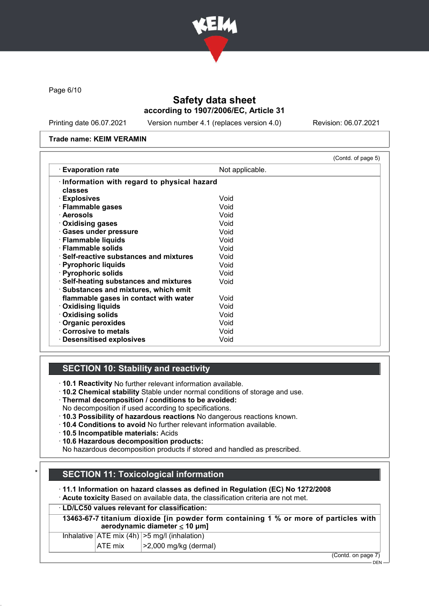

Page 6/10

# Safety data sheet according to 1907/2006/EC, Article 31

Printing date 06.07.2021 Version number 4.1 (replaces version 4.0) Revision: 06.07.2021

### Trade name: KEIM VERAMIN

|                                                                                 |                 | (Contd. of page 5) |
|---------------------------------------------------------------------------------|-----------------|--------------------|
| $\cdot$ Evaporation rate                                                        | Not applicable. |                    |
| Information with regard to physical hazard<br>classes                           |                 |                    |
| · Explosives                                                                    | Void            |                    |
| · Flammable gases                                                               | Void            |                    |
| · Aerosols                                                                      | Void            |                    |
| Oxidising gases                                                                 | Void            |                    |
| · Gases under pressure                                                          | Void            |                    |
| · Flammable liquids                                                             | Void            |                    |
| · Flammable solids                                                              | Void            |                    |
| $\cdot$ Self-reactive substances and mixtures                                   | Void            |                    |
| · Pyrophoric liquids                                                            | Void            |                    |
| · Pyrophoric solids                                                             | Void            |                    |
| · Self-heating substances and mixtures<br>· Substances and mixtures, which emit | Void            |                    |
| flammable gases in contact with water                                           | Void            |                    |
| <b>Oxidising liquids</b>                                                        | Void            |                    |
| Oxidising solids                                                                | Void            |                    |
| Organic peroxides                                                               | Void            |                    |
| Corrosive to metals                                                             | Void            |                    |
| $\cdot$ Desensitised explosives                                                 | Void            |                    |

# SECTION 10: Stability and reactivity

· 10.1 Reactivity No further relevant information available.

- · 10.2 Chemical stability Stable under normal conditions of storage and use.
- · Thermal decomposition / conditions to be avoided:
- No decomposition if used according to specifications.
- · 10.3 Possibility of hazardous reactions No dangerous reactions known.
- · 10.4 Conditions to avoid No further relevant information available.
- · 10.5 Incompatible materials: Acids
- · 10.6 Hazardous decomposition products:

No hazardous decomposition products if stored and handled as prescribed.

# **SECTION 11: Toxicological information**

· 11.1 Information on hazard classes as defined in Regulation (EC) No 1272/2008

· Acute toxicity Based on available data, the classification criteria are not met.

## · LD/LC50 values relevant for classification:

13463-67-7 titanium dioxide [in powder form containing 1 % or more of particles with aerodynamic diameter ≤ 10 μm]

| $\mathbf{A}$ $\mathbf{F}$ $\mathbf{F}$ $\mathbf{F}$ $\mathbf{F}$ $\mathbf{F}$ | $\sqrt{2}$ 0.000 $\frac{1}{2}$ $\frac{1}{2}$ $\frac{1}{2}$ $\frac{1}{2}$ $\frac{1}{2}$ $\frac{1}{2}$ $\frac{1}{2}$ $\frac{1}{2}$ $\frac{1}{2}$ $\frac{1}{2}$ $\frac{1}{2}$ $\frac{1}{2}$ $\frac{1}{2}$ $\frac{1}{2}$ $\frac{1}{2}$ $\frac{1}{2}$ $\frac{1}{2}$ $\frac{1}{2}$ $\frac{1}{2}$ $\frac{1}{2}$ $\frac{1}{2$ |
|-------------------------------------------------------------------------------|-----------------------------------------------------------------------------------------------------------------------------------------------------------------------------------------------------------------------------------------------------------------------------------------------------------------------|
| Inhalative $ ATE \text{ mix } (4h)   > 5 \text{ mg/l } (inhalation)$          |                                                                                                                                                                                                                                                                                                                       |

 $|ATE$  mix  $| > 2,000$  mg/kg (dermal)

(Contd. on page 7)

 $-$  DEN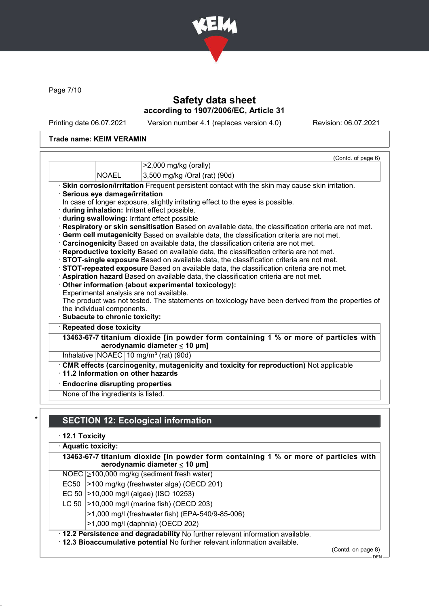

Page 7/10

# Safety data sheet according to 1907/2006/EC, Article 31

Printing date 06.07.2021 Version number 4.1 (replaces version 4.0) Revision: 06.07.2021

## Trade name: KEIM VERAMIN

|                                 | (Contd. of page 6)<br>>2,000 mg/kg (orally)                                                                                                        |
|---------------------------------|----------------------------------------------------------------------------------------------------------------------------------------------------|
| <b>NOAEL</b>                    |                                                                                                                                                    |
|                                 | 3,500 mg/kg /Oral (rat) (90d)                                                                                                                      |
|                                 | · Skin corrosion/irritation Frequent persistent contact with the skin may cause skin irritation.                                                   |
| · Serious eye damage/irritation |                                                                                                                                                    |
|                                 | In case of longer exposure, slightly irritating effect to the eyes is possible.                                                                    |
|                                 | during inhalation: Irritant effect possible.                                                                                                       |
|                                 | during swallowing: Irritant effect possible<br>Respiratory or skin sensitisation Based on available data, the classification criteria are not met. |
|                                 | · Germ cell mutagenicity Based on available data, the classification criteria are not met.                                                         |
|                                 | · Carcinogenicity Based on available data, the classification criteria are not met.                                                                |
|                                 |                                                                                                                                                    |
|                                 |                                                                                                                                                    |
|                                 | · Reproductive toxicity Based on available data, the classification criteria are not met.                                                          |
|                                 | STOT-single exposure Based on available data, the classification criteria are not met.                                                             |
|                                 | STOT-repeated exposure Based on available data, the classification criteria are not met.                                                           |
|                                 | · Aspiration hazard Based on available data, the classification criteria are not met.                                                              |
|                                 | Other information (about experimental toxicology):<br>Experimental analysis are not available.                                                     |
|                                 |                                                                                                                                                    |
| the individual components.      |                                                                                                                                                    |
| · Subacute to chronic toxicity: |                                                                                                                                                    |
| · Repeated dose toxicity        | The product was not tested. The statements on toxicology have been derived from the properties of                                                  |
|                                 |                                                                                                                                                    |
|                                 | aerodynamic diameter $\leq 10$ µm]<br>Inhalative   NOAEC   10 mg/m <sup>3</sup> (rat) (90d)                                                        |
|                                 |                                                                                                                                                    |
|                                 | . CMR effects (carcinogenity, mutagenicity and toxicity for reproduction) Not applicable<br>$\cdot$ 11.2 Information on other hazards              |
|                                 | 13463-67-7 titanium dioxide [in powder form containing 1 % or more of particles with<br><b>Endocrine disrupting properties</b>                     |

# **SECTION 12: Ecological information**

· 12.1 Toxicity

| · Aquatic toxicity:<br>13463-67-7 titanium dioxide [in powder form containing 1 % or more of particles with<br>aerodynamic diameter $\leq 10$ µm] |                                                                                                                                                                |
|---------------------------------------------------------------------------------------------------------------------------------------------------|----------------------------------------------------------------------------------------------------------------------------------------------------------------|
|                                                                                                                                                   | NOEC 2100,000 mg/kg (sediment fresh water)                                                                                                                     |
| EC50                                                                                                                                              | >100 mg/kg (freshwater alga) (OECD 201)                                                                                                                        |
| EC 50 $\vert$                                                                                                                                     | >10,000 mg/l (algae) (ISO 10253)                                                                                                                               |
| LC 50                                                                                                                                             | >10,000 mg/l (marine fish) (OECD 203)                                                                                                                          |
|                                                                                                                                                   | >1,000 mg/l (freshwater fish) (EPA-540/9-85-006)                                                                                                               |
|                                                                                                                                                   | >1,000 mg/l (daphnia) (OECD 202)                                                                                                                               |
|                                                                                                                                                   | . 12.2 Persistence and degradability No further relevant information available.<br>. 12.3 Bioaccumulative potential No further relevant information available. |

(Contd. on page 8)

 $-$  DEN -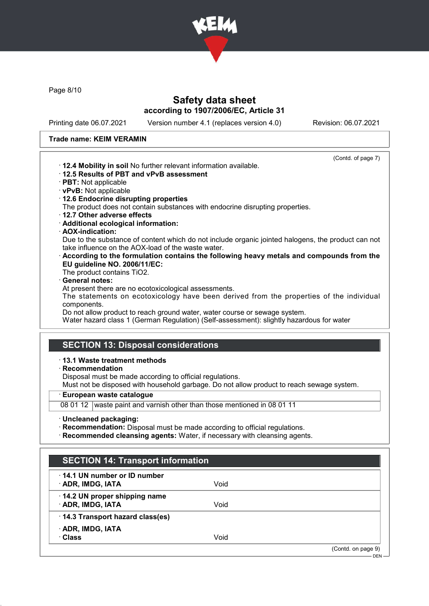

Page 8/10

# Safety data sheet according to 1907/2006/EC, Article 31

Printing date 06.07.2021 Version number 4.1 (replaces version 4.0) Revision: 06.07.2021

### Trade name: KEIM VERAMIN

| (Contd. of page 7)                                                                                 |
|----------------------------------------------------------------------------------------------------|
| . 12.4 Mobility in soil No further relevant information available.                                 |
| 12.5 Results of PBT and vPvB assessment                                                            |
| · PBT: Not applicable                                                                              |
| · vPvB: Not applicable                                                                             |
| · 12.6 Endocrine disrupting properties                                                             |
| The product does not contain substances with endocrine disrupting properties.                      |
| 12.7 Other adverse effects                                                                         |
| · Additional ecological information:                                                               |
| · AOX-indication:                                                                                  |
| Due to the substance of content which do not include organic jointed halogens, the product can not |
| take influence on the AOX-load of the waste water.                                                 |
| According to the formulation contains the following heavy metals and compounds from the            |
| EU guideline NO. 2006/11/EC:                                                                       |
| The product contains TiO2.                                                                         |
| · General notes:                                                                                   |
| At present there are no ecotoxicological assessments.                                              |
| The statements on ecotoxicology have been derived from the properties of the individual            |
| components.                                                                                        |
| Do not allow product to reach ground water, water course or sewage system.                         |
| Water hazard class 1 (German Regulation) (Self-assessment): slightly hazardous for water           |
|                                                                                                    |
|                                                                                                    |
| <b>SECTION 13: Disposal considerations</b>                                                         |
| $\cdot$ 13.1 Waste treatment methods                                                               |
| $\cdot$ Recommendation                                                                             |
|                                                                                                    |
| Disposal must be made according to official regulations.                                           |

Must not be disposed with household garbage. Do not allow product to reach sewage system.

· European waste catalogue

08 01 12 waste paint and varnish other than those mentioned in 08 01 11

· Uncleaned packaging:

· Recommendation: Disposal must be made according to official regulations.

· Recommended cleansing agents: Water, if necessary with cleansing agents.

| <b>SECTION 14: Transport information</b>          |      |                    |
|---------------------------------------------------|------|--------------------|
| 14.1 UN number or ID number<br>· ADR, IMDG, IATA  | Void |                    |
| 14.2 UN proper shipping name<br>· ADR, IMDG, IATA | Void |                    |
| 14.3 Transport hazard class(es)                   |      |                    |
| · ADR, IMDG, IATA<br>· Class                      | Void |                    |
|                                                   |      | (Contd. on page 9) |
|                                                   |      | $DEN -$            |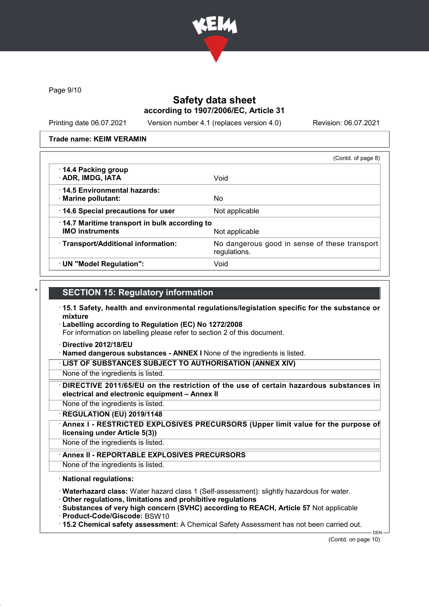

Page 9/10

# Safety data sheet according to 1907/2006/EC, Article 31

Printing date 06.07.2021 Version number 4.1 (replaces version 4.0) Revision: 06.07.2021

### Trade name: KEIM VERAMIN

|                                                                        | (Contd. of page 8)                                            |
|------------------------------------------------------------------------|---------------------------------------------------------------|
| 14.4 Packing group<br>· ADR, IMDG, IATA                                | Void                                                          |
| ⋅14.5 Environmental hazards:<br>· Marine pollutant:                    | No.                                                           |
| 14.6 Special precautions for user                                      | Not applicable                                                |
| 14.7 Maritime transport in bulk according to<br><b>IMO instruments</b> | Not applicable                                                |
| · Transport/Additional information:                                    | No dangerous good in sense of these transport<br>regulations. |
| · UN "Model Regulation":                                               | Void                                                          |

## **SECTION 15: Regulatory information**

- · 15.1 Safety, health and environmental regulations/legislation specific for the substance or mixture
- · Labelling according to Regulation (EC) No 1272/2008

For information on labelling please refer to section 2 of this document.

- · Directive 2012/18/EU
- · Named dangerous substances ANNEX I None of the ingredients is listed.

· LIST OF SUBSTANCES SUBJECT TO AUTHORISATION (ANNEX XIV)

- None of the ingredients is listed.
- DIRECTIVE 2011/65/EU on the restriction of the use of certain hazardous substances in electrical and electronic equipment – Annex II
- None of the ingredients is listed.
- · REGULATION (EU) 2019/1148
- Annex I RESTRICTED EXPLOSIVES PRECURSORS (Upper limit value for the purpose of licensing under Article 5(3))
- None of the ingredients is listed.
	- Annex II REPORTABLE EXPLOSIVES PRECURSORS
- None of the ingredients is listed.

## · National regulations:

- · Waterhazard class: Water hazard class 1 (Self-assessment): slightly hazardous for water.
- · Other regulations, limitations and prohibitive regulations
- · Substances of very high concern (SVHC) according to REACH, Article 57 Not applicable
- · Product-Code/Giscode: BSW10
- · 15.2 Chemical safety assessment: A Chemical Safety Assessment has not been carried out.

DEN